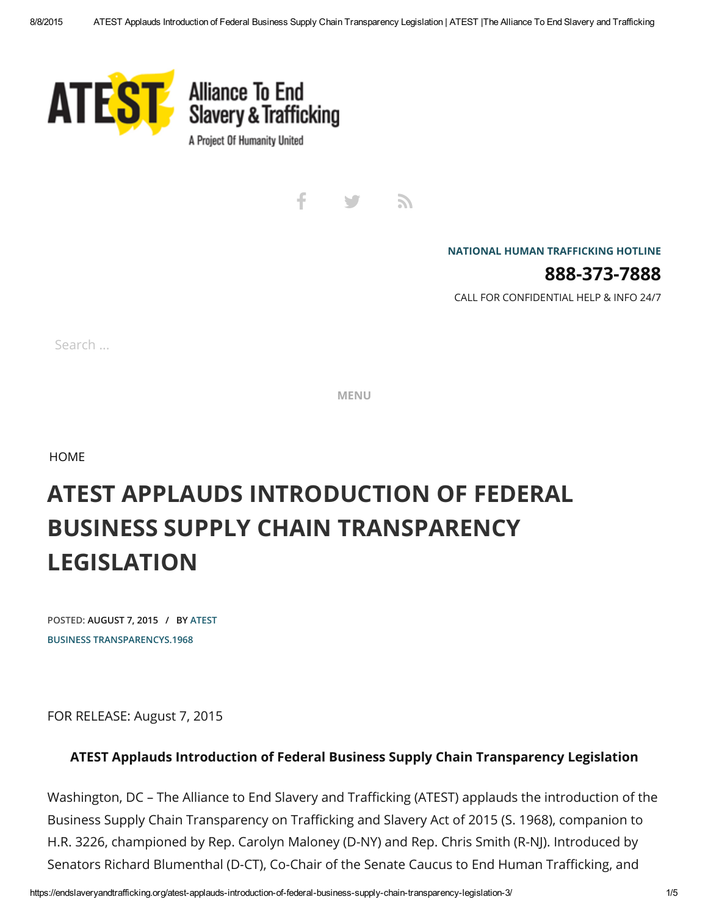

t λ y

NATIONAL HUMAN [TRAFFICKING](http://www.polarisproject.org/what-we-do/national-human-trafficking-hotline/the-nhtrc/overview) HOTLINE

888-373-7888

CALL FOR CONFIDENTIAL HELP & INFO 24/7

Search ...

MENU

[HOME](https://endslaveryandtrafficking.org/)

# ATEST APPLAUDS INTRODUCTION OF FEDERAL BUSINESS SUPPLY CHAIN TRANSPARENCY LEGISLATION

POSTED: AUGUST 7, 2015 / BY [ATEST](https://endslaveryandtrafficking.org/author/atest/) BUSINESS [TRANSPARENCY](https://endslaveryandtrafficking.org/tag/business-transparency/)[S.1968](https://endslaveryandtrafficking.org/tag/s-1968/)

FOR RELEASE: August 7, 2015

#### ATEST Applauds Introduction of Federal Business Supply Chain Transparency Legislation

Washington, DC – The Alliance to End Slavery and Trafficking (ATEST) applauds the introduction of the Business Supply Chain Transparency on Trafficking and Slavery Act of 2015 (S. 1968), companion to H.R. 3226, championed by Rep. Carolyn Maloney (D-NY) and Rep. Chris Smith (R-NJ). Introduced by Senators Richard Blumenthal (D-CT), Co-Chair of the Senate Caucus to End Human Trafficking, and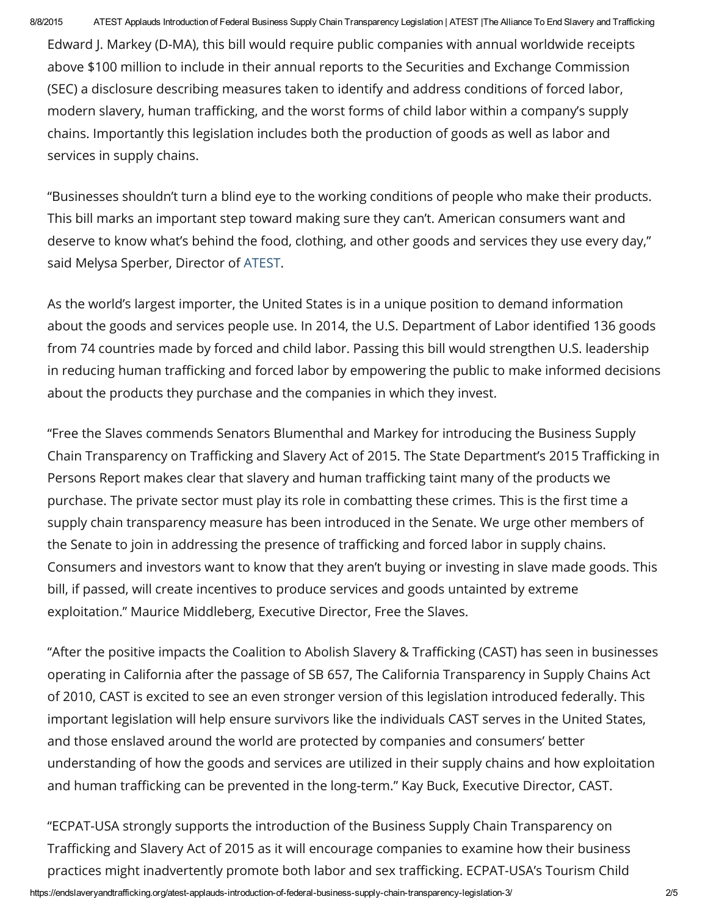Edward J. Markey (D-MA), this bill would require public companies with annual worldwide receipts above \$100 million to include in their annual reports to the Securities and Exchange Commission (SEC) a disclosure describing measures taken to identify and address conditions of forced labor, modern slavery, human trafficking, and the worst forms of child labor within a company's supply chains. Importantly this legislation includes both the production of goods as well as labor and services in supply chains.

"Businesses shouldn't turn a blind eye to the working conditions of people who make their products. This bill marks an important step toward making sure they can't. American consumers want and deserve to know what's behind the food, clothing, and other goods and services they use every day," said Melysa Sperber, Director of [ATEST.](http://www.endslaveryandtrafficking.org/)

As the world's largest importer, the United States is in a unique position to demand information about the goods and services people use. In 2014, the U.S. Department of Labor identified 136 goods from 74 countries made by forced and child labor. Passing this bill would strengthen U.S. leadership in reducing human trafficking and forced labor by empowering the public to make informed decisions about the products they purchase and the companies in which they invest.

"Free the Slaves commends Senators Blumenthal and Markey for introducing the Business Supply Chain Transparency on Trafficking and Slavery Act of 2015. The State Department's 2015 Trafficking in Persons Report makes clear that slavery and human trafficking taint many of the products we purchase. The private sector must play its role in combatting these crimes. This is the first time a supply chain transparency measure has been introduced in the Senate. We urge other members of the Senate to join in addressing the presence of trafficking and forced labor in supply chains. Consumers and investors want to know that they aren't buying or investing in slave made goods. This bill, if passed, will create incentives to produce services and goods untainted by extreme exploitation." Maurice Middleberg, Executive Director, Free the Slaves.

"After the positive impacts the Coalition to Abolish Slavery & Trafficking (CAST) has seen in businesses operating in California after the passage of SB 657, The California Transparency in Supply Chains Act of 2010, CAST is excited to see an even stronger version of this legislation introduced federally. This important legislation will help ensure survivors like the individuals CAST serves in the United States, and those enslaved around the world are protected by companies and consumers' better understanding of how the goods and services are utilized in their supply chains and how exploitation and human trafficking can be prevented in the long-term." Kay Buck, Executive Director, CAST.

"ECPAT-USA strongly supports the introduction of the Business Supply Chain Transparency on Trafficking and Slavery Act of 2015 as it will encourage companies to examine how their business practices might inadvertently promote both labor and sex trafficking. ECPAT-USA's Tourism Child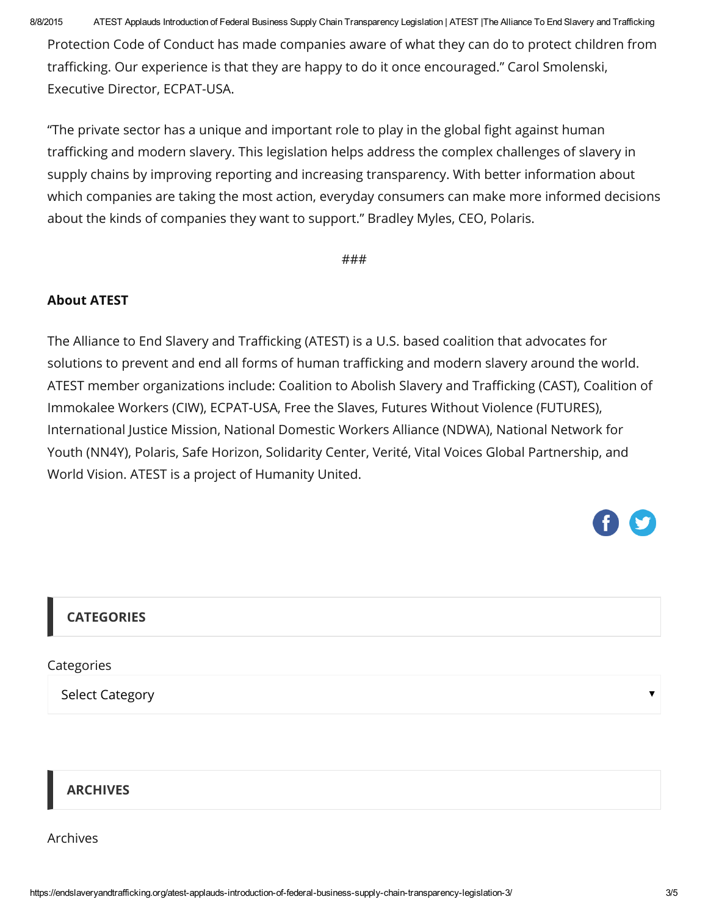8/8/2015 ATEST Applauds Introduction of Federal Business Supply Chain Transparency Legislation | ATEST |The Alliance To End Slavery and Trafficking

Protection Code of Conduct has made companies aware of what they can do to protect children from trafficking. Our experience is that they are happy to do it once encouraged." Carol Smolenski, Executive Director, ECPAT-USA.

"The private sector has a unique and important role to play in the global fight against human trafficking and modern slavery. This legislation helps address the complex challenges of slavery in supply chains by improving reporting and increasing transparency. With better information about which companies are taking the most action, everyday consumers can make more informed decisions about the kinds of companies they want to support." Bradley Myles, CEO, Polaris.

###

#### About ATEST

The Alliance to End Slavery and Trafficking (ATEST) is a U.S. based coalition that advocates for solutions to prevent and end all forms of human trafficking and modern slavery around the world. ATEST member organizations include: Coalition to Abolish Slavery and Trafficking (CAST), Coalition of Immokalee Workers (CIW), ECPAT-USA, Free the Slaves, Futures Without Violence (FUTURES), International Justice Mission, National Domestic Workers Alliance (NDWA), National Network for Youth (NN4Y), Polaris, Safe Horizon, Solidarity Center, Verité, Vital Voices Global Partnership, and World Vision. ATEST is a project of Humanity United.

# **CATEGORIES**

**Categories** 

Select Category

### ARCHIVES

Archives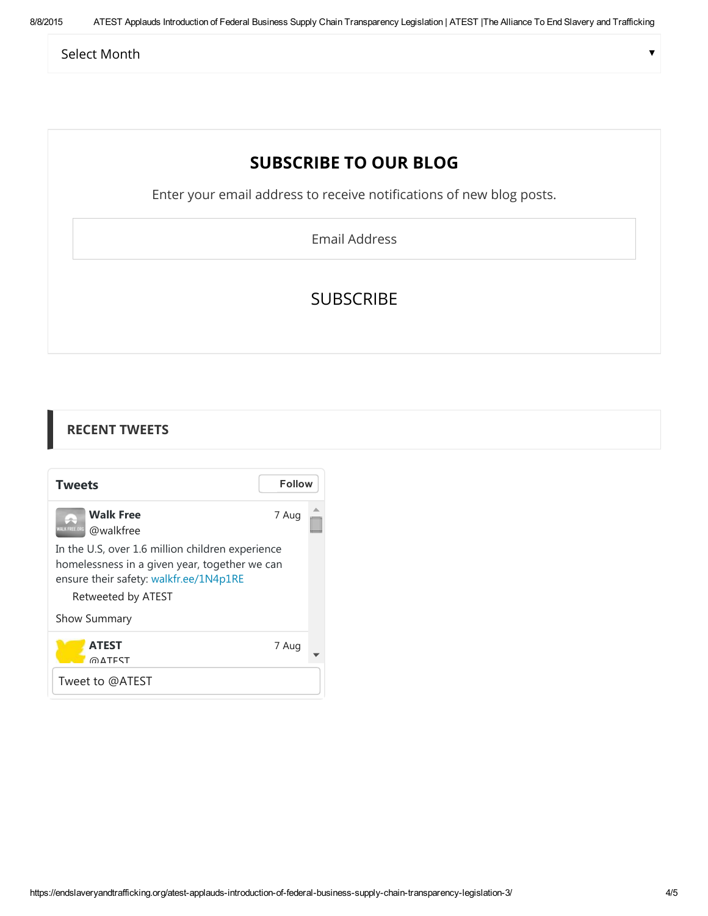Select Month

в

# SUBSCRIBE TO OUR BLOG

Enter your email address to receive notifications of new blog posts.

Email Address

# SUBSCRIBE

| <b>RECENT TWEETS</b>                                                                                                                                              |               |  |
|-------------------------------------------------------------------------------------------------------------------------------------------------------------------|---------------|--|
| <b>Tweets</b>                                                                                                                                                     | <b>Follow</b> |  |
| <b>Walk Free</b><br><b>NALK FREE OF</b><br>@walkfree                                                                                                              | 7 Aug         |  |
| In the U.S, over 1.6 million children experience<br>homelessness in a given year, together we can<br>ensure their safety: walkfr.ee/1N4p1RE<br>Retweeted by ATEST |               |  |
| Show Summary                                                                                                                                                      |               |  |
| <b>ATEST</b><br>@∆TFST                                                                                                                                            | 7 Aug         |  |
| Tweet to @ATEST                                                                                                                                                   |               |  |